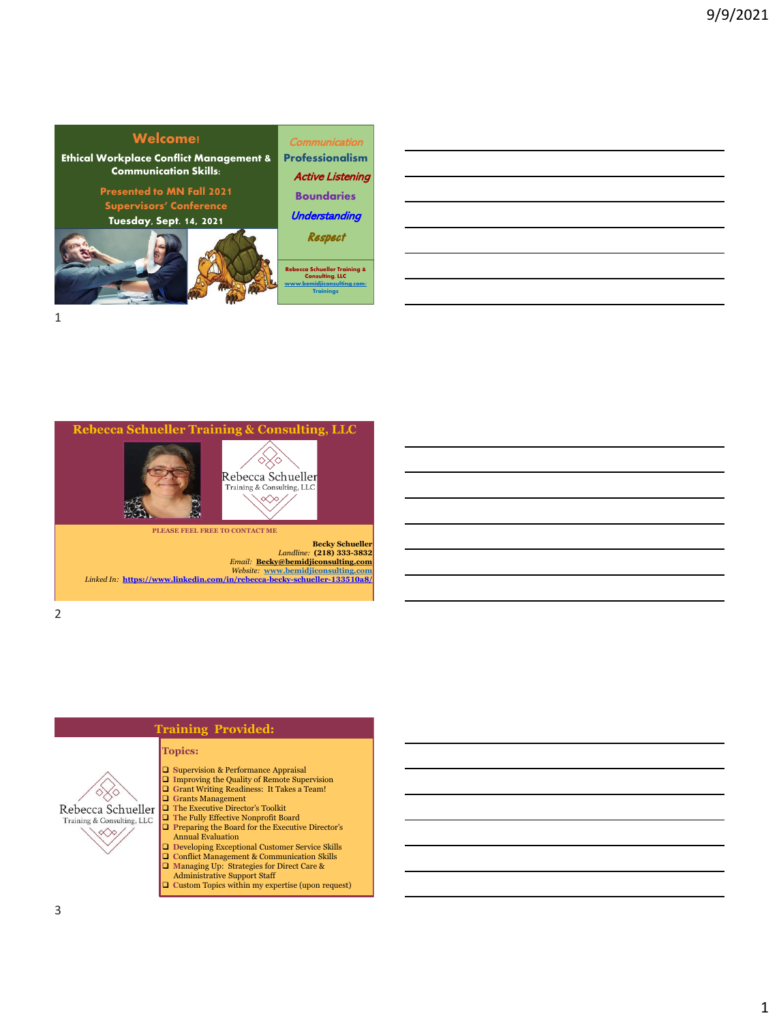







**Becky Schueller** *Landline:* **(218) 333-3832** *Email:* **[Becky@bemidjiconsulting.com](mailto:Becky@bemidjiconsulting.com)** *Website:* **[www.bemidjiconsulting.com](http://www.bemidjiconsulting.com/)** *Linked In:* **<https://www.linkedin.com/in/rebecca-becky-schueller-133510a8/>**

2



## **Training Provided:**

- ❑ **S**upervision & Performance Appraisal
- ❑ **I**mproving the Quality of Remote Supervision ❑ **G**rant Writing Readiness: It Takes a Team!
- 
- ❑ **G**rants Management ❑ **T**he Executive Director's Toolkit
- ❑ **T**he Fully Effective Nonprofit Board ❑ **P**reparing the Board for the Executive Director's
- Annual Evaluation
- 
- ❑ **D**eveloping Exceptional Customer Service Skills ❑ **C**onflict Management & Communication Skills
- ❑ **M**anaging Up: Strategies for Direct Care & Administrative Support Staff
- ❑ **C**ustom Topics within my expertise (upon request)
-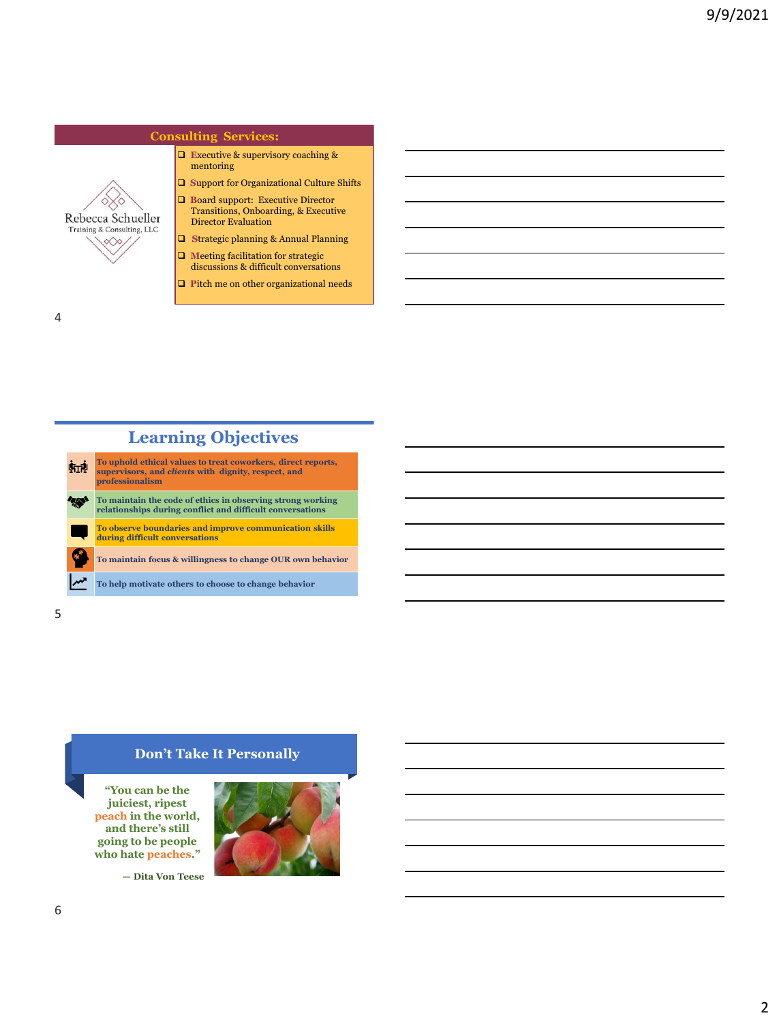# **Consulting Services:**

- ❑ **E**xecutive & supervisory coaching & mentoring
- ❑ **S**upport for Organizational Culture Shifts
- ❑ **B**oard support: Executive Director Transitions, Onboarding, & Executive Director Evaluation
- ❑ **S**trategic planning & Annual Planning
- ❑ **M**eeting facilitation for strategic discussions & difficult conversations
- ❑ **P**itch me on other organizational needs

4

Rebecca Schueller Training & Consulting, LLC  $\ll \gg$ 

# **Learning Objectives**

| 临浪 | To uphold ethical values to treat coworkers, direct reports,<br>supervisors, and clients with dignity, respect, and<br>professionalism |
|----|----------------------------------------------------------------------------------------------------------------------------------------|
|    | To maintain the code of ethics in observing strong working<br>relationships during conflict and difficult conversations                |
|    | To observe boundaries and improve communication skills<br>during difficult conversations                                               |
|    | To maintain focus & willingness to change OUR own behavior                                                                             |
|    | To help motivate others to choose to change behavior                                                                                   |

5

## **Don't Take It Personally**

**"You can be the juiciest, ripest peach in the world, and there's still going to be people who hate peaches."**

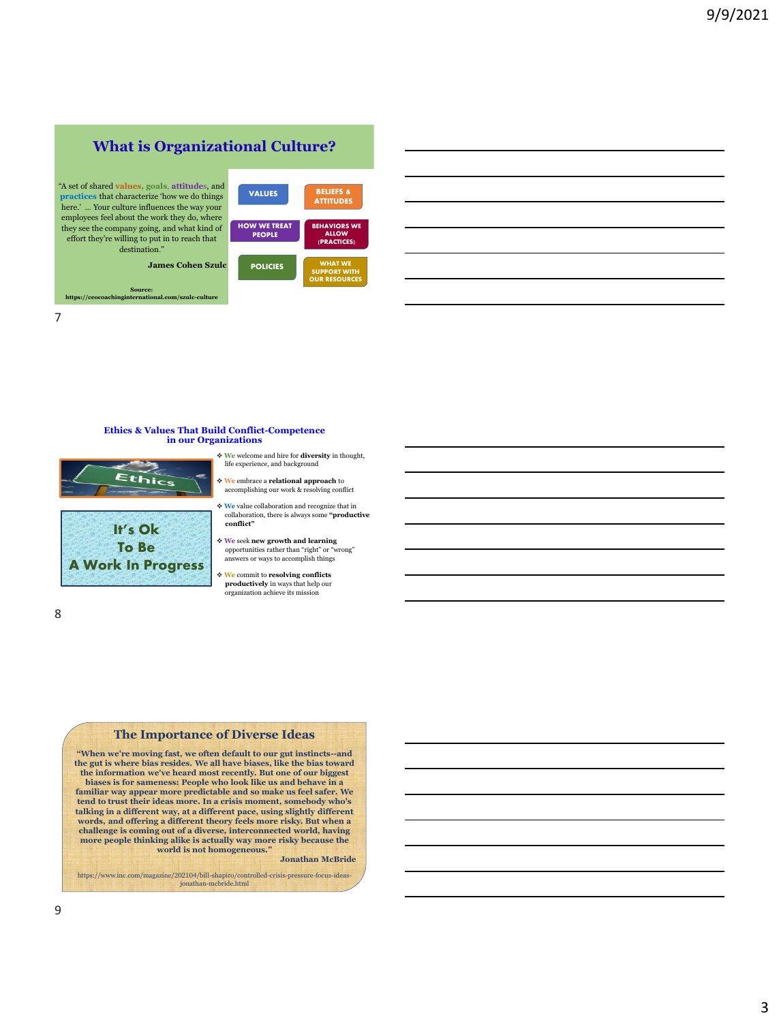# **What is Organizational Culture?**

"A set of shared **values, goals**, **attitude**s, and **practices** that characterize 'how we do things here.' … Your culture influences the way your employees feel about the work they do, where they see the company going, and what kind of effort they're willing to put in to reach that destination."

**Source: https://ceocoachinginternational.com/szulc-culture**

**James Cohen Szulc**



7

8

#### **Ethics & Values That Build Conflict-Competence in our Organizations**





- ❖ **We** welcome and hire for **diversity** in thought, life experience, and background
- ❖ **We** embrace a **relational approach** to accomplishing our work & re
- ❖ **We** value collaboration and recognize that in collaboration, there is always some **"productive conflict"**
- ❖ **We** seek **new growth and learning**  opportunities rather than "right" or "wrong" answers or ways to accomplish things
- ❖ **We** commit to **resolving conflicts productively** in ways that help our organization achieve its mission

#### **The Importance of Diverse Ideas**

**"When we're moving fast, we often default to our gut instincts--and the gut is where bias resides. We all have biases, like the bias toward the information we've heard most recently. But one of our biggest biases is for sameness: People who look like us and behave in a familiar way appear more predictable and so make us feel safer. We tend to trust their ideas more. In a crisis moment, somebody who's talking in a different way, at a different pace, using slightly different words, and offering a different theory feels more risky. But when a challenge is coming out of a diverse, interconnected world, having more people thinking alike is actually way more risky because the world is not homogeneous."**

#### **Jonathan McBride**

https://www.inc.com/magazine/202104/bill-shapiro/controlled-crisis-pressure-focus-ideas-jonathan-mcbride.html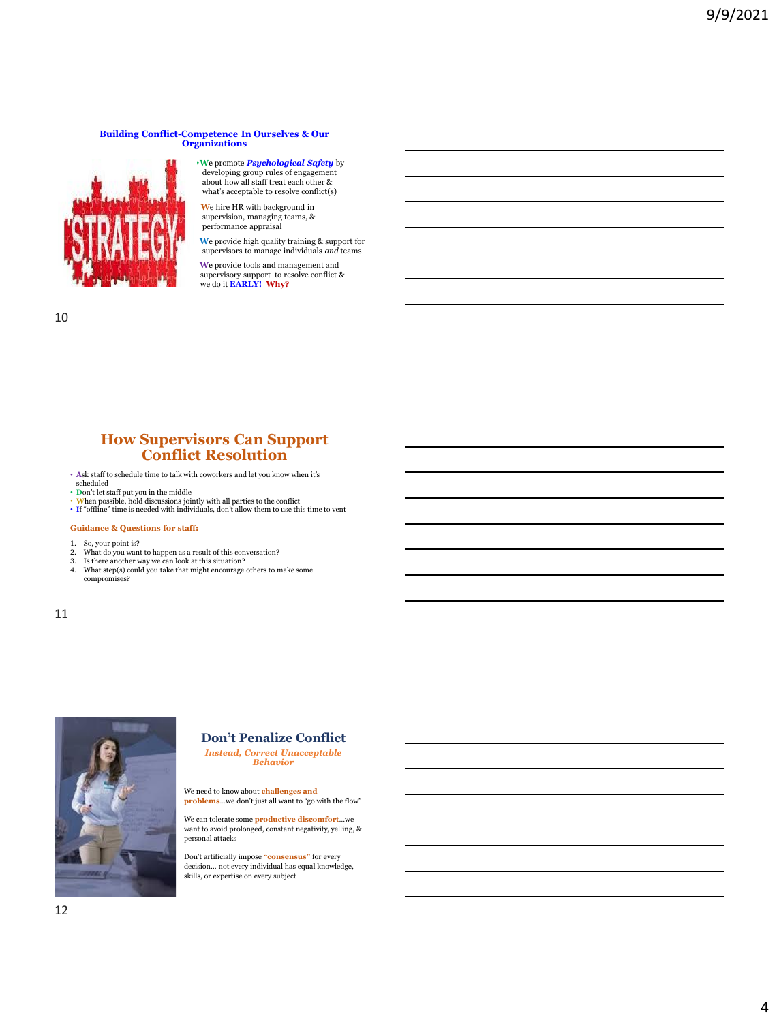#### **Building Conflict-Competence In Ourselves & Our Organizations**



❖**W**e promote *Psychological Safety* by developing group rules of engagement about how all staff treat each other & what's acceptable to resolve conflict(s)

❖ **W**e hire HR with background in supervision, managing teams, & performance appraisal

❖ **W**e provide high quality training & support for supervisors to manage individuals *and* teams

❖ **W**e provide tools and management and supervisory support to resolve conflict & we do it **EARLY! Why?**

10

## **How Supervisors Can Support Conflict Resolution**

- **A**sk staff to schedule time to talk with coworkers and let you know when it's scheduled
- 
- Don't let staff put you in the middle<br>• When possible, hold discussions jointly with all parties to the conflict<br>• If "offline" time is needed with individuals, don't allow them to use this time to vent
- 

#### **Guidance & Questions for staff:**

- 
- 1. So, your point is? 2. What do you want to happen as a result of this conversation?
- 3. Is there another way we can look at this situation? 4. What step(s) could you take that might encourage others to make some
- compromises?

11



## **Don't Penalize Conflict**

*Instead, Correct Unacceptable Behavior*

We need to know about **challenges and problems**…we don't just all want to "go with the flow"

We can tolerate some **productive discomfort**…we want to avoid prolonged, constant negativity, yelling, & personal attacks

Don't artificially impose **"consensus"** for every decision… not every individual has equal knowledge, skills, or expertise on every subject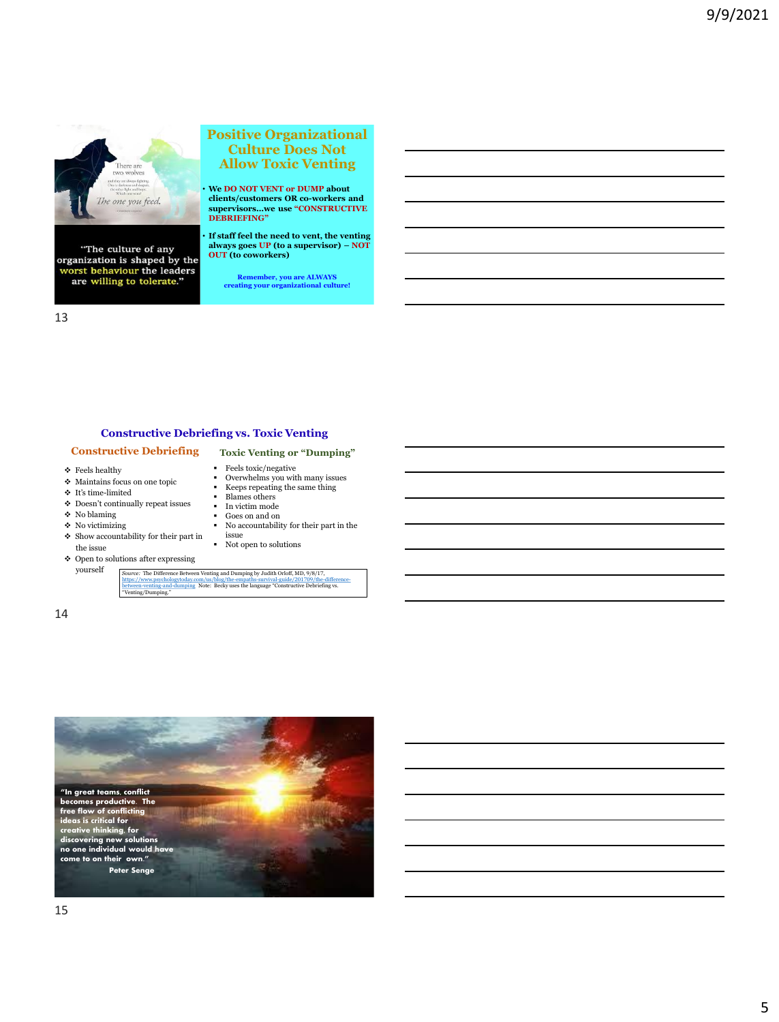

"The culture of any organization is shaped by the<br>worst behaviour the leaders<br>are willing to tolerate."

#### **Positive Organizational Culture Does Not Allow Toxic Venting**

• **We DO NOT VENT or DUMP about clients/customers OR co-workers and supervisors…we use "CONSTRUCTIVE DEBRIEFING"**

• **If staff feel the need to vent, the venting always goes UP (to a supervisor) – NOT OUT (to coworkers)** 

**Remember, you are ALWAYS creating your organizational culture!**

**Toxic Venting or "Dumping"**

▪ Goes on and on ▪ No accountability for their part in the

• Overwhelms you with many issues<br>• Keens repeating the same thing Keeps repeating the same thing

**•** Feels toxic/negative<br>• Overwhelms you with

▪ Blames others ▪ In victim mode

#### **Constructive Debriefing vs. Toxic Venting**

#### **Constructive Debriefing**

- ❖ Feels healthy
- ❖ Maintains focus on one topic
- $\div$  It's time-limited
- $\spadesuit\;$  Doesn't continually repeat issues
- ❖ No blaming
- $\bullet$  No victimizing
- $\div$  Show accountability for their part in the issue
- ❖ Open to solutions after expressing yourself

*Source: T*he Difference Between Venting and Dumping by Judith Orloff, MD, 9/8/17,<br>https://www.psychologytoday.com/us/hlog/the-empaths-survival-guide/201709/the-difference-<br><u>between-venting and-</u>dumping Note: Becky uses th

issue ▪ Not open to solutions

14

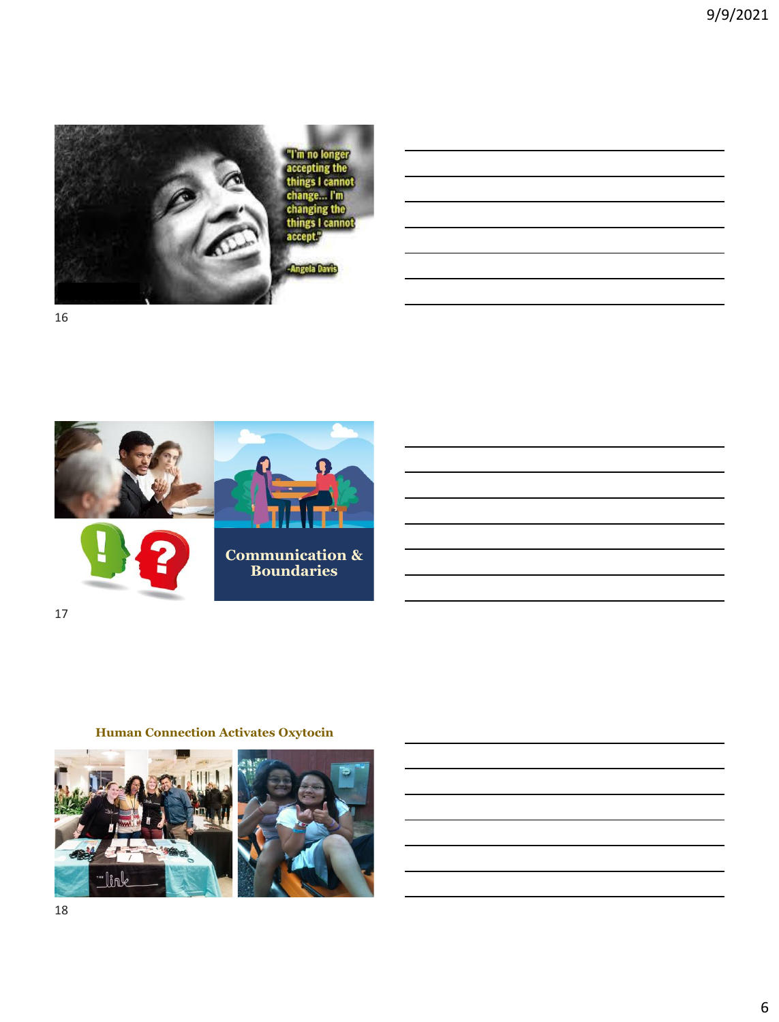



17

## **Human Connection Activates Oxytocin**



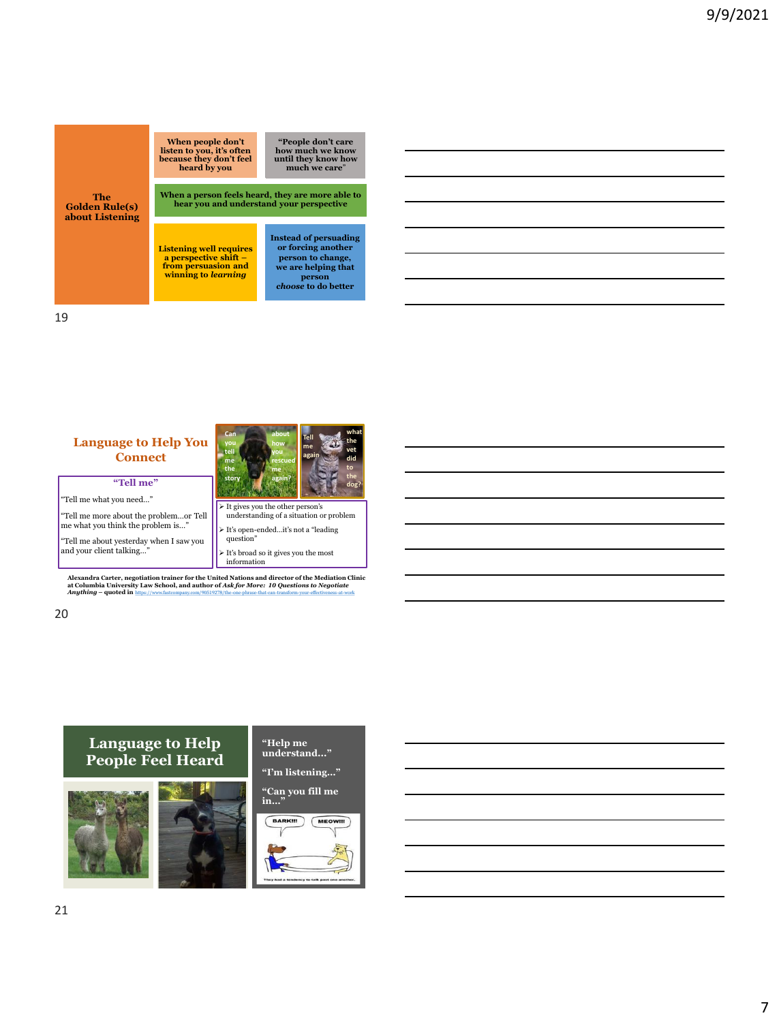

#### **Language to Help You Can you tell me the story about how you rescued me again?**

"Tell me what you need…"

"Tell me more about the problem…or Tell me what you think the problem is…"

**"Tell me"**

**Connect**

"Tell me about yesterday when I saw you and your client talking…"



**Tell me again** **what the vet did to the** 

➢ It's broad so it gives you the most information

Alexandra Carter, negotiation trainer for the United Nations and director of the Mediation Clinic<br>at Columbia University Law School, and author of Ask for More: 10 Questions to Negotiate<br>Aruthing – quoted in https://www.fa

## **Language to Help People Feel Heard**





**"I'm listening…"**

**"Can you fill me in…"**

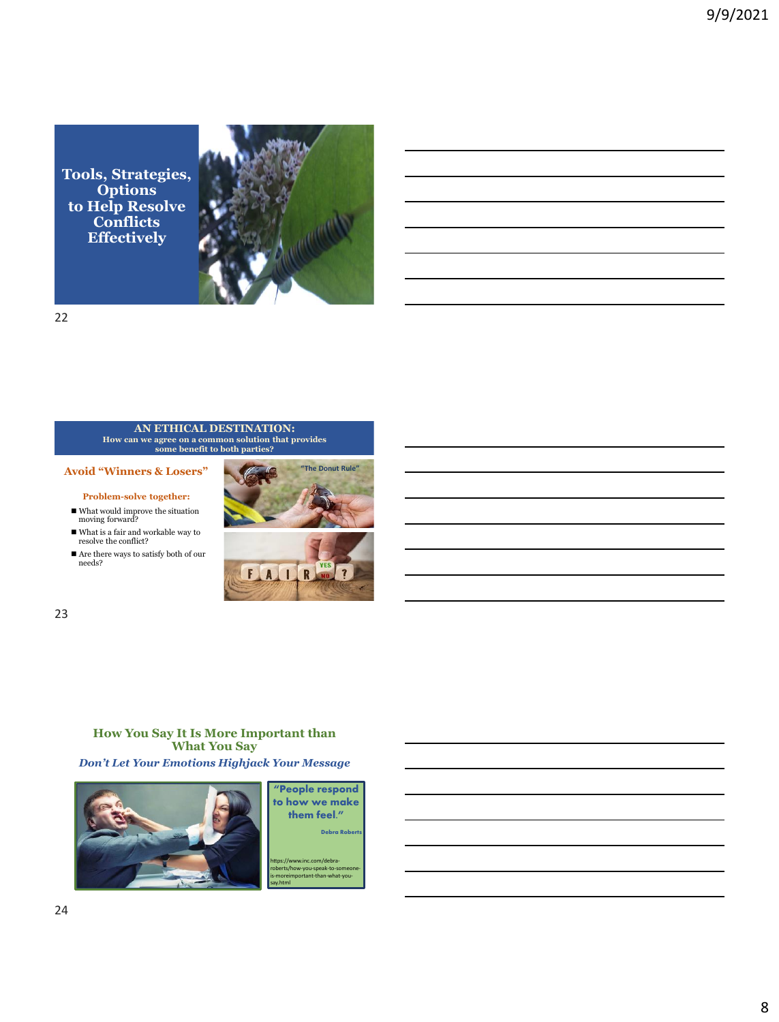**Tools, Strategies, Options to Help Resolve Conflicts Effectively**





**AN ETHICAL DESTINATION: How can we agree on a common solution that provides some benefit to both parties?** 

**Avoid "Winners & Losers"**

**Problem-solve together:** 

- What would improve the situation moving forward?
- $\blacksquare$  <br> What is a fair and workable way to resolve the conflict?
- Are there ways to satisfy both of our needs?



23

## **How You Say It Is More Important than What You Say**

*Don't Let Your Emotions Highjack Your Message*



**"People respond to how we make them feel." Debra Robe** 

w.inc.com/debraminuted..., audie is-moreimportant-than-what-yousay.html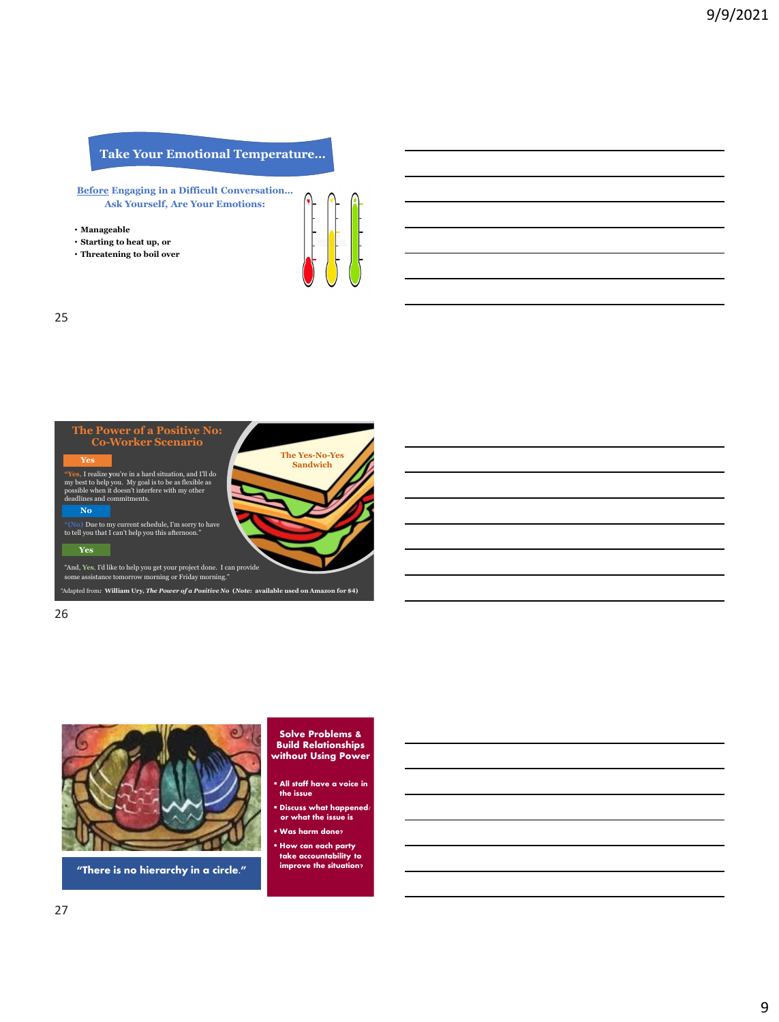## **Take Your Emotional Temperature…**

**Before Engaging in a Difficult Conversation… Ask Yourself, Are Your Emotions:**

- **Manageable**
- **Starting to heat up, or**
- **Threatening to boil over**



25



26



**"There is no hierarchy in a circle."**

#### **Solve Problems & Build Relationships without Using Power**

- **All staff have a voice in the issue**
- **Discuss what happened. or what the issue is**
- **Was harm done?**
- **How can each party take accountability to improve the situation?**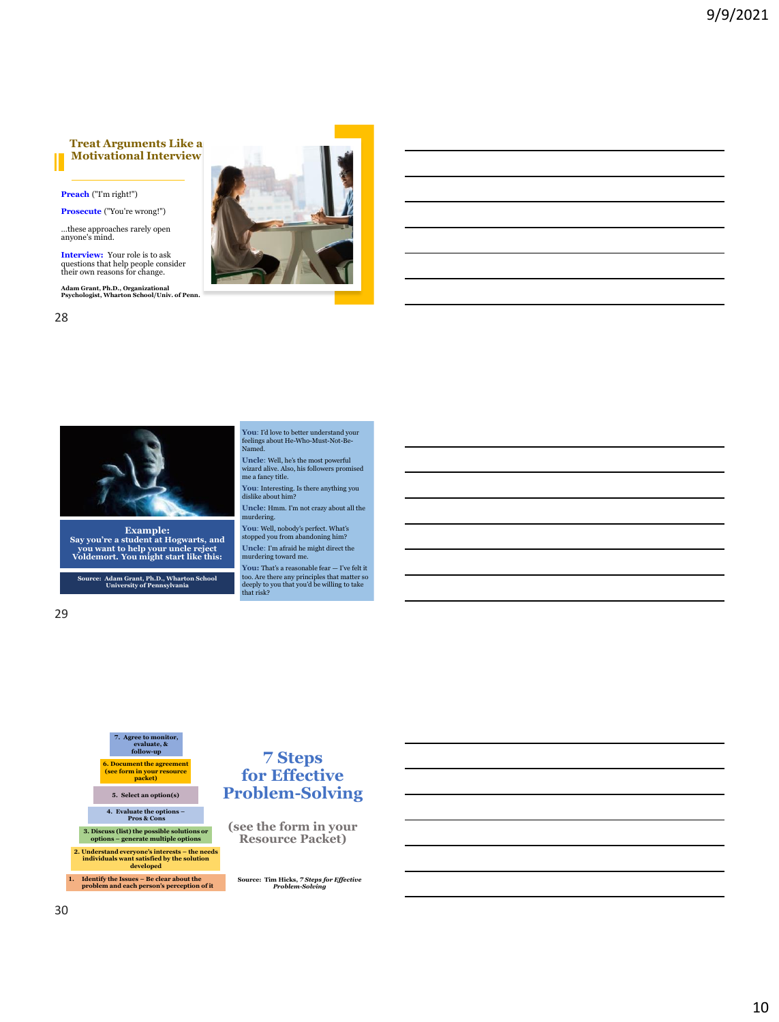#### **Treat Arguments Like a Motivational Interview**

**Preach** ("I'm right!")

**Prosecute** ("You're wrong!")

…these approaches rarely open anyone's mind.

**Interview:** Your role is to ask questions that help people consider their own reasons for change.

**Adam Grant, Ph.D., Organizational Psychologist, Wharton School/Univ. of Penn.**





**Example: Say you're a student at Hogwarts, and you want to help your uncle reject Voldemort. You might start like this:**

**Source: Adam Grant, Ph.D., Wharton School University of Pennsylvania**

29

28

**You**: I'd love to better understand your feelings about He-Who-Must-Not-Be-Named.

**Uncle**: Well, he's the most powerful wizard alive. Also, his followers promised me a fancy title.

**You**: Interesting. Is there anything you dislike about him?

**Uncle**: Hmm. I'm not crazy about all the urdering.

**You**: Well, nobody's perfect. What's stopped you from abandoning him? **Uncle**: I'm afraid he might direct the murdering toward me.

**You:** That's a reasonable fear — I've felt it too. Are there any principles that matter so deeply to you that you'd be willing to take that risk?



## **7 Steps for Effective Problem-Solving**

**(see the form in your Resource Packet)**

**Source: Tim Hicks,** *7 Steps for Effective Problem-Solving*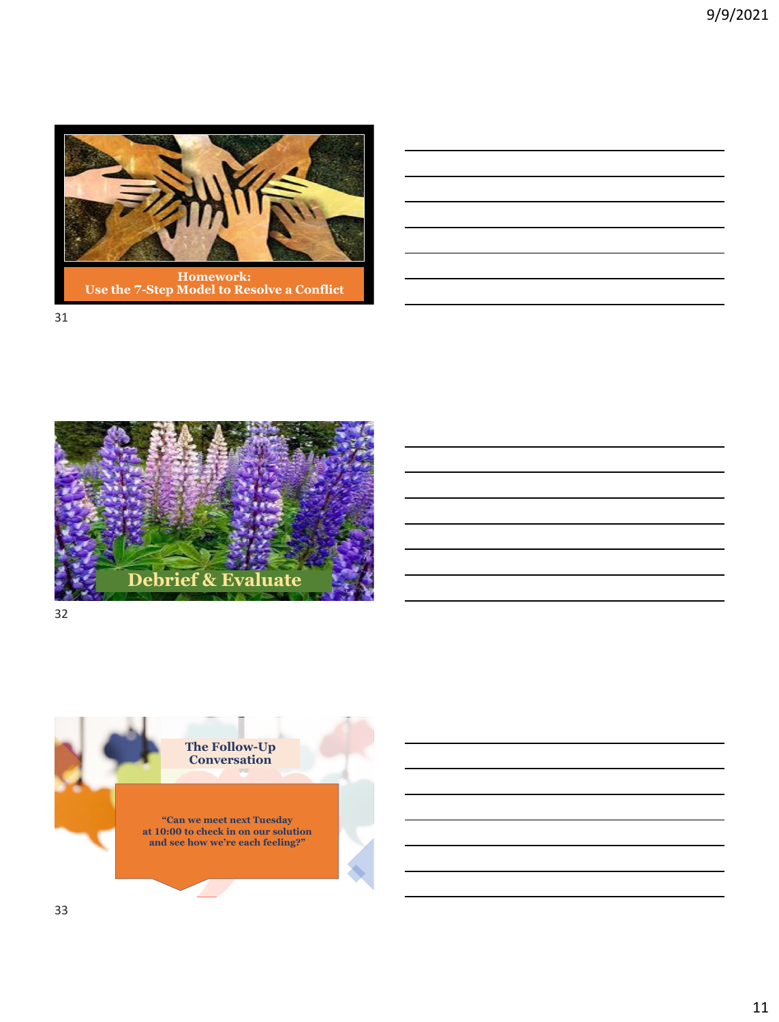





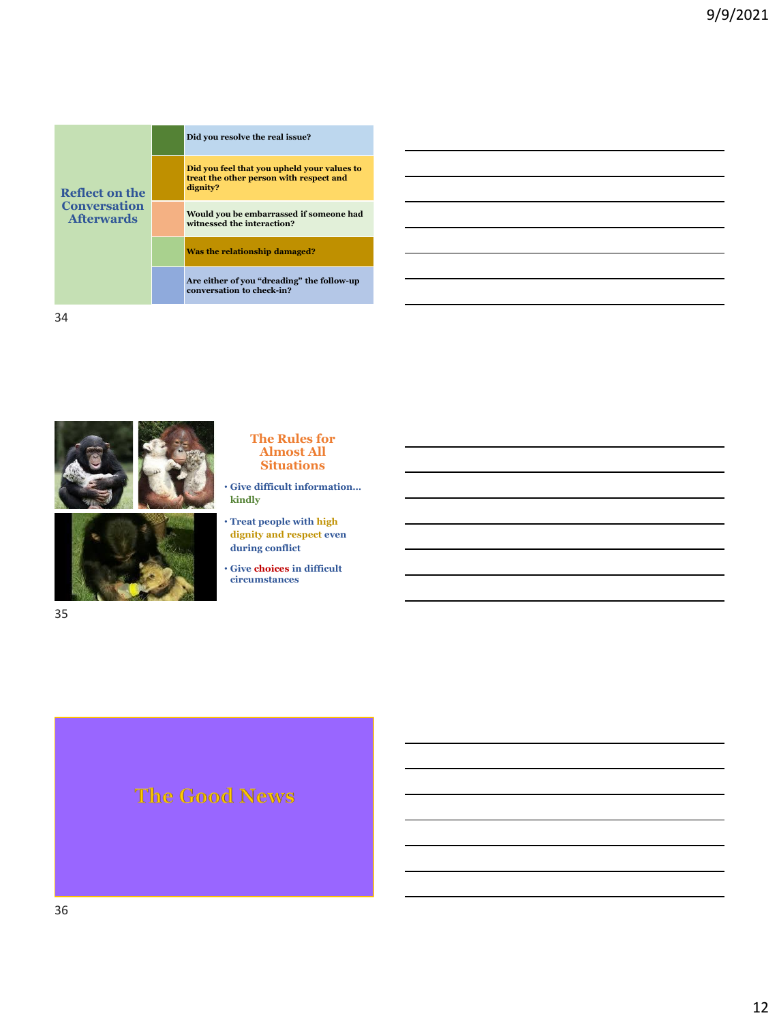|                                          | Did you resolve the real issue?                                                                    |
|------------------------------------------|----------------------------------------------------------------------------------------------------|
| Reflect on the                           | Did you feel that you upheld your values to<br>treat the other person with respect and<br>dignity? |
| <b>Conversation</b><br><b>Afterwards</b> | Would you be embarrassed if someone had<br>witnessed the interaction?                              |
|                                          | Was the relationship damaged?                                                                      |
|                                          | Are either of you "dreading" the follow-up<br>conversation to check-in?                            |





#### 35

#### **The Rules for Almost All Situations**

- **Give difficult information… kindly**
- **Treat people with high dignity and respect even during conflict**
- **Give choices in difficult circumstances**

# The Good News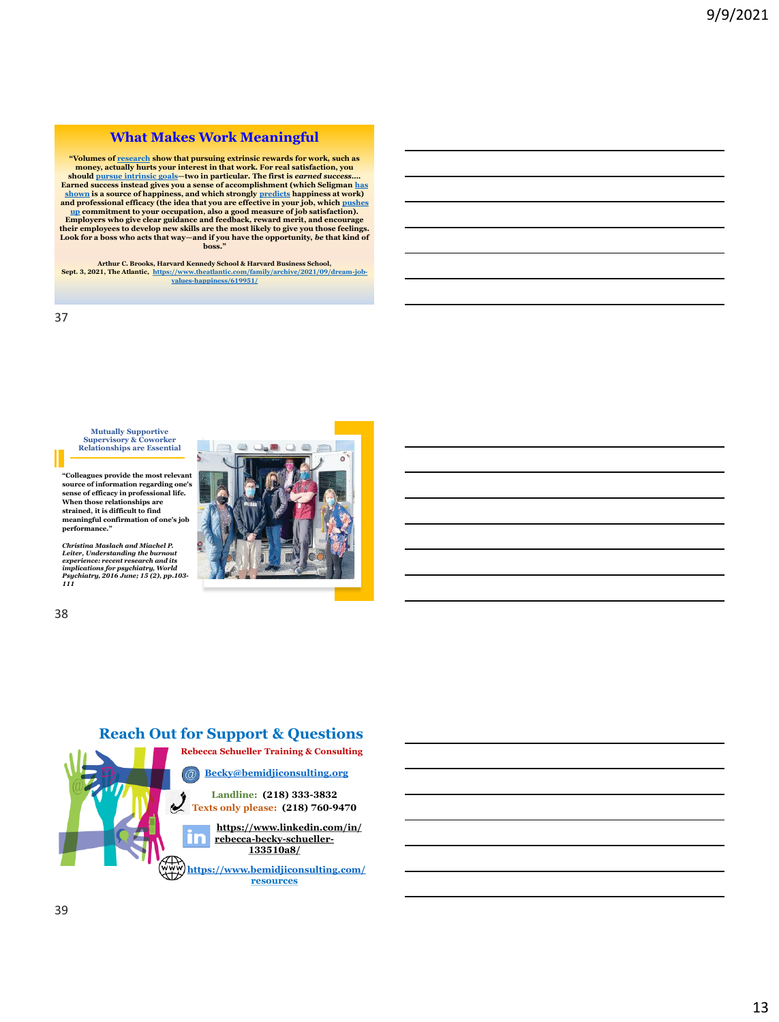#### **What Makes Work Meaningful**

**"Volumes of [research](https://www.researchgate.net/publication/12712628_A_Meta-Analytic_Review_of_Experiments_Examining_the_Effect_of_Extrinsic_Rewards_on_Intrinsic_Motivation) show that pursuing extrinsic rewards for work, such as money, actually hurts your interest in that work. For real satisfaction, you should [pursue intrinsic goals](https://www.theatlantic.com/family/archive/2021/01/checklist-achievements-happiness-boxes/617756/)—two in particular. The first is** *earned success***…. [Earned success instead gives you a sense of accomplishment \(which Seligman](https://positivepsychology.com/perma-model/) has shown is a source of happiness, and which strongly [predicts](https://positivepsychology.com/perma-model/) happiness at work) and professional efficacy (the idea that you are effective in your job, which pushes up [commitment to your occupation, also a good measure of job satisfaction\).](https://link.springer.com/article/10.1007/s10212-011-0069-2)  Employers who give clear guidance and feedback, reward merit, and encourage their employees to develop new skills are the most likely to give you those feelings. Look for a boss who acts that way—and if you have the opportunity,** *be* **that kind of boss."**

**Arthur C. Brooks, Harvard Kennedy School & Harvard Business School, Sept. 3, 2021, The Atlantic, [https://www.theatlantic.com/family/archive/2021/09/dream-job-](https://www.theatlantic.com/family/archive/2021/09/dream-job-values-happiness/619951/)values-happiness/619951/**

37

**Mutually Supportive Supervisory & Coworker Relationships are Essential**

**"Colleagues provide the most relevant source of information regarding one's sense of efficacy in professional life. When those relationships are strained, it is difficult to find meaningful confirmation of one's job performance."**

Christina Maslach and Miachel P.<br>Leiter, Understanding the burnout<br>experience: recent research and its<br>implications for psychiatry, World<br>Psychiatry, 2016 June; 15 (2), pp.103-<br>111

38



**ANY** 

**Landline: (218) 333-3832 Texts only please: (218) 760-9470**

**[https://www.linkedin.com/in/](https://www.linkedin.com/in/rebecca-becky-schueller-133510a8/) [rebecca-becky-schueller](https://www.linkedin.com/in/rebecca-becky-schueller-133510a8/)**l a **133510a8/**

**<https://www.bemidjiconsulting.com/> resources**



 $\neg$ an  $\neg$ a

 $\equiv$